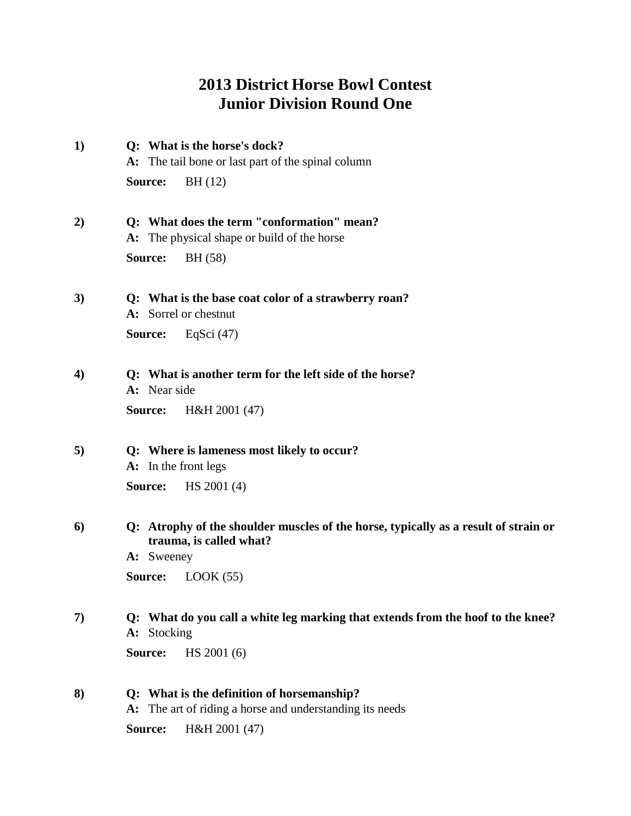## **2013 District Horse Bowl Contest Junior Division Round One**

- **1) Q: What is the horse's dock? A:** The tail bone or last part of the spinal column **Source:** BH (12)
- **2) Q: What does the term "conformation" mean? A:** The physical shape or build of the horse **Source:** BH (58)
- **3) Q: What is the base coat color of a strawberry roan? A:** Sorrel or chestnut **Source:** EqSci (47)
- **4) Q: What is another term for the left side of the horse? A:** Near side **Source:** H&H 2001 (47)
- **5) Q: Where is lameness most likely to occur? A:** In the front legs **Source:** HS 2001 (4)
- **6) Q: Atrophy of the shoulder muscles of the horse, typically as a result of strain or trauma, is called what?**

**A:** Sweeney

**Source:** LOOK (55)

- **7) Q: What do you call a white leg marking that extends from the hoof to the knee? A:** Stocking **Source:** HS 2001 (6)
- **8) Q: What is the definition of horsemanship? A:** The art of riding a horse and understanding its needs

**Source:** H&H 2001 (47)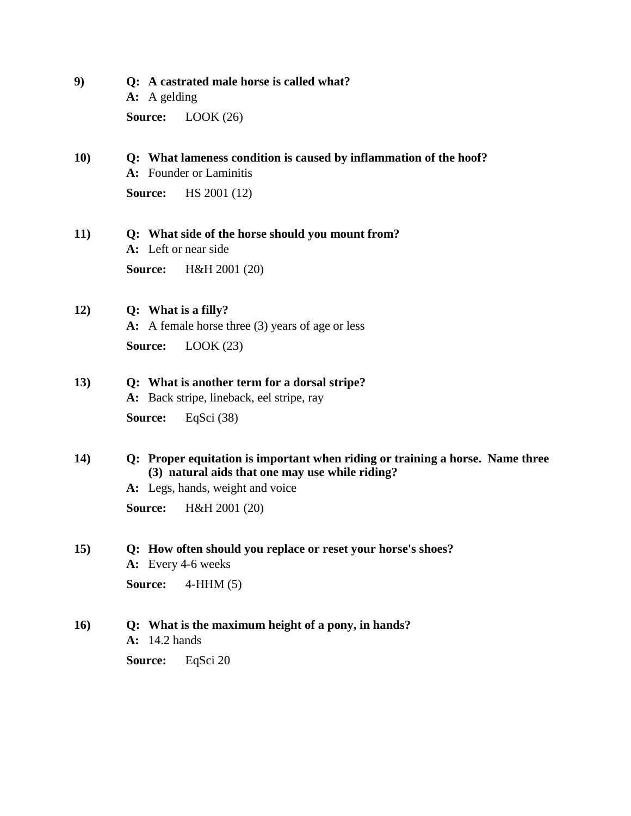**9) Q: A castrated male horse is called what? A:** A gelding **Source:** LOOK (26)

## **10) Q: What lameness condition is caused by inflammation of the hoof? A:** Founder or Laminitis

**Source:** HS 2001 (12)

**11) Q: What side of the horse should you mount from? A:** Left or near side **Source:** H&H 2001 (20)

## **12) Q: What is a filly?**

**A:** A female horse three (3) years of age or less **Source:** LOOK (23)

## **13) Q: What is another term for a dorsal stripe?**

**A:** Back stripe, lineback, eel stripe, ray **Source:** EqSci (38)

**14) Q: Proper equitation is important when riding or training a horse. Name three (3) natural aids that one may use while riding?**

**A:** Legs, hands, weight and voice

**Source:** H&H 2001 (20)

## **15) Q: How often should you replace or reset your horse's shoes?**

**A:** Every 4-6 weeks

**Source:** 4-HHM (5)

## **16) Q: What is the maximum height of a pony, in hands?**

**A:** 14.2 hands

**Source:** EqSci 20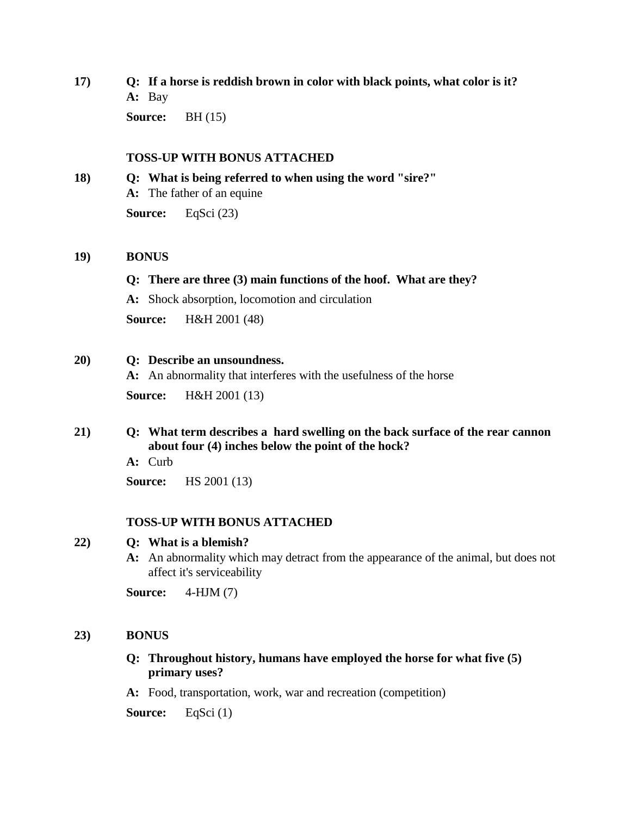**17) Q: If a horse is reddish brown in color with black points, what color is it? A:** Bay

**Source:** BH (15)

### **TOSS-UP WITH BONUS ATTACHED**

**18) Q: What is being referred to when using the word "sire?" A:** The father of an equine **Source:** EqSci (23)

### **19) BONUS**

### **Q: There are three (3) main functions of the hoof. What are they?**

**A:** Shock absorption, locomotion and circulation

**Source:** H&H 2001 (48)

### **20) Q: Describe an unsoundness.**

**A:** An abnormality that interferes with the usefulness of the horse

**Source:** H&H 2001 (13)

## **21) Q: What term describes a hard swelling on the back surface of the rear cannon about four (4) inches below the point of the hock?**

**A:** Curb

**Source:** HS 2001 (13)

## **TOSS-UP WITH BONUS ATTACHED**

## **22) Q: What is a blemish?**

**A:** An abnormality which may detract from the appearance of the animal, but does not affect it's serviceability

**Source:** 4-HJM (7)

## **23) BONUS**

## **Q: Throughout history, humans have employed the horse for what five (5) primary uses?**

**A:** Food, transportation, work, war and recreation (competition)

**Source:** EqSci (1)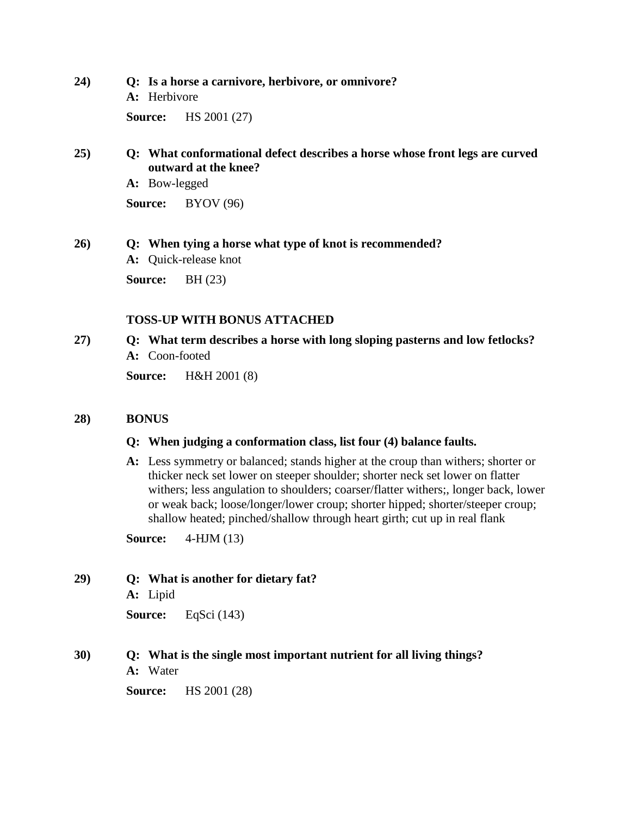**24) Q: Is a horse a carnivore, herbivore, or omnivore? A:** Herbivore **Source:** HS 2001 (27)

## **25) Q: What conformational defect describes a horse whose front legs are curved outward at the knee?**

**A:** Bow-legged

**Source:** BYOV (96)

**26) Q: When tying a horse what type of knot is recommended? A:** Quick-release knot

**Source:** BH (23)

## **TOSS-UP WITH BONUS ATTACHED**

**27) Q: What term describes a horse with long sloping pasterns and low fetlocks? A:** Coon-footed **Source:** H&H 2001 (8)

## **28) BONUS**

## **Q: When judging a conformation class, list four (4) balance faults.**

**A:** Less symmetry or balanced; stands higher at the croup than withers; shorter or thicker neck set lower on steeper shoulder; shorter neck set lower on flatter withers; less angulation to shoulders; coarser/flatter withers;, longer back, lower or weak back; loose/longer/lower croup; shorter hipped; shorter/steeper croup; shallow heated; pinched/shallow through heart girth; cut up in real flank

**Source:** 4-HJM (13)

- **29) Q: What is another for dietary fat?**
	- **A:** Lipid

**Source:** EqSci (143)

## **30) Q: What is the single most important nutrient for all living things?**

**A:** Water

**Source:** HS 2001 (28)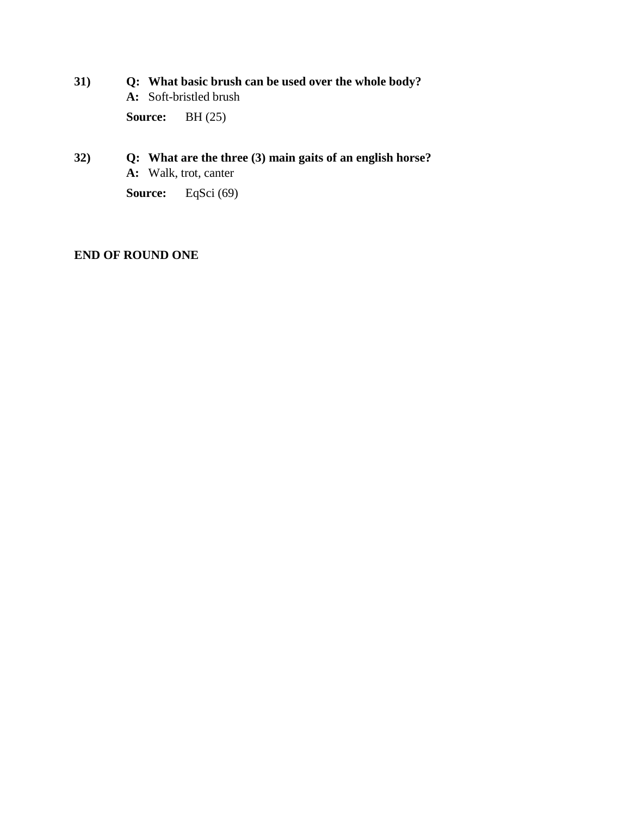- **31) Q: What basic brush can be used over the whole body? A:** Soft-bristled brush **Source:** BH (25)
- **32) Q: What are the three (3) main gaits of an english horse? A:** Walk, trot, canter

**Source:** EqSci (69)

## **END OF ROUND ONE**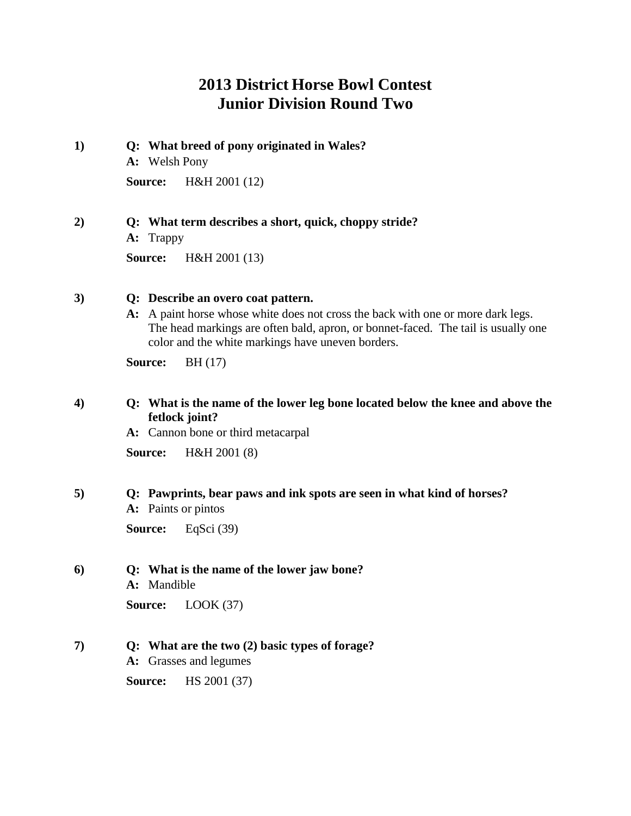## **2013 District Horse Bowl Contest Junior Division Round Two**

**1) Q: What breed of pony originated in Wales? A:** Welsh Pony **Source:** H&H 2001 (12)

**2) Q: What term describes a short, quick, choppy stride? A:** Trappy

**Source:** H&H 2001 (13)

### **3) Q: Describe an overo coat pattern.**

**A:** A paint horse whose white does not cross the back with one or more dark legs. The head markings are often bald, apron, or bonnet-faced. The tail is usually one color and the white markings have uneven borders.

**Source:** BH (17)

## **4) Q: What is the name of the lower leg bone located below the knee and above the fetlock joint?**

**A:** Cannon bone or third metacarpal

**Source:** H&H 2001 (8)

## **5) Q: Pawprints, bear paws and ink spots are seen in what kind of horses?**

**A:** Paints or pintos

**Source:** EqSci (39)

#### **6) Q: What is the name of the lower jaw bone?**

**A:** Mandible

**Source:** LOOK (37)

## **7) Q: What are the two (2) basic types of forage?**

**A:** Grasses and legumes

**Source:** HS 2001 (37)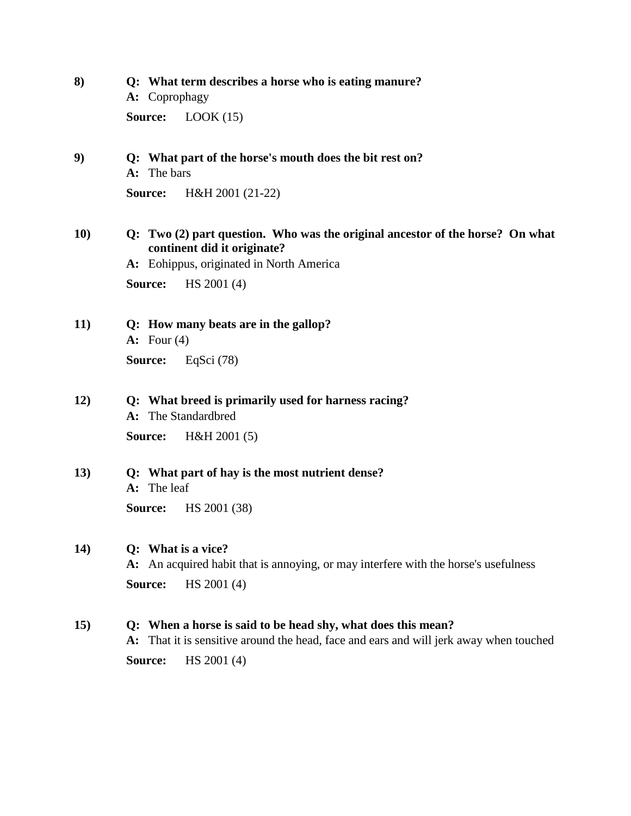- **8) Q: What term describes a horse who is eating manure? A:** Coprophagy **Source:** LOOK (15)
- **9) Q: What part of the horse's mouth does the bit rest on? A:** The bars

**Source:** H&H 2001 (21-22)

**10) Q: Two (2) part question. Who was the original ancestor of the horse? On what continent did it originate?**

**A:** Eohippus, originated in North America

**Source:** HS 2001 (4)

- **11) Q: How many beats are in the gallop? A:** Four (4) **Source:** EqSci (78)
- **12) Q: What breed is primarily used for harness racing?**
	- **A:** The Standardbred **Source:** H&H 2001 (5)
- **13) Q: What part of hay is the most nutrient dense? A:** The leaf

**Source:** HS 2001 (38)

## **14) Q: What is a vice?**

**A:** An acquired habit that is annoying, or may interfere with the horse's usefulness **Source:** HS 2001 (4)

**15) Q: When a horse is said to be head shy, what does this mean?**

**A:** That it is sensitive around the head, face and ears and will jerk away when touched **Source:** HS 2001 (4)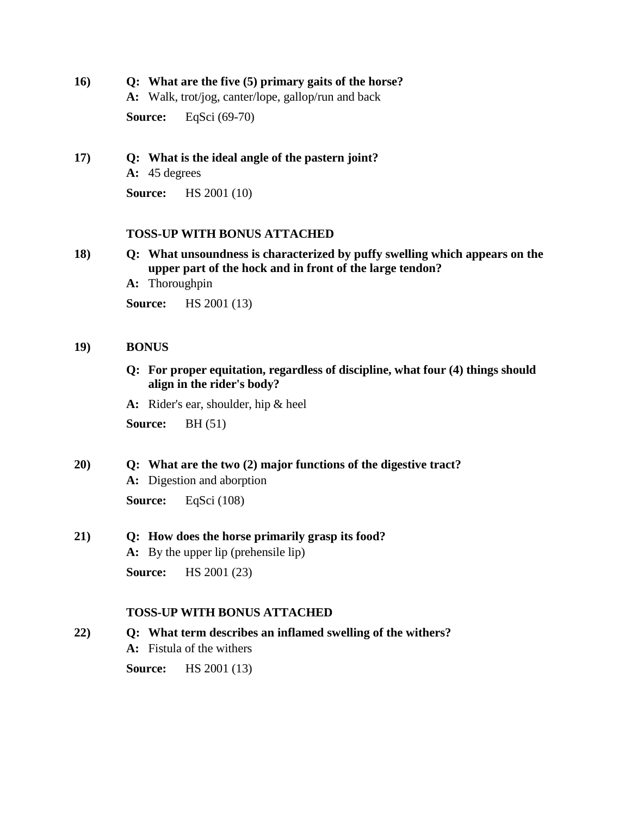- **16) Q: What are the five (5) primary gaits of the horse?**
	- **A:** Walk, trot/jog, canter/lope, gallop/run and back

**Source:** EqSci (69-70)

**17) Q: What is the ideal angle of the pastern joint? A:** 45 degrees

**Source:** HS 2001 (10)

## **TOSS-UP WITH BONUS ATTACHED**

**18) Q: What unsoundness is characterized by puffy swelling which appears on the upper part of the hock and in front of the large tendon?**

**A:** Thoroughpin

**Source:** HS 2001 (13)

## **19) BONUS**

**Q: For proper equitation, regardless of discipline, what four (4) things should align in the rider's body?**

**A:** Rider's ear, shoulder, hip & heel

**Source:** BH (51)

**20) Q: What are the two (2) major functions of the digestive tract? A:** Digestion and aborption

**Source:** EqSci (108)

**21) Q: How does the horse primarily grasp its food?**

**A:** By the upper lip (prehensile lip)

**Source:** HS 2001 (23)

## **TOSS-UP WITH BONUS ATTACHED**

**22) Q: What term describes an inflamed swelling of the withers? A:** Fistula of the withers

**Source:** HS 2001 (13)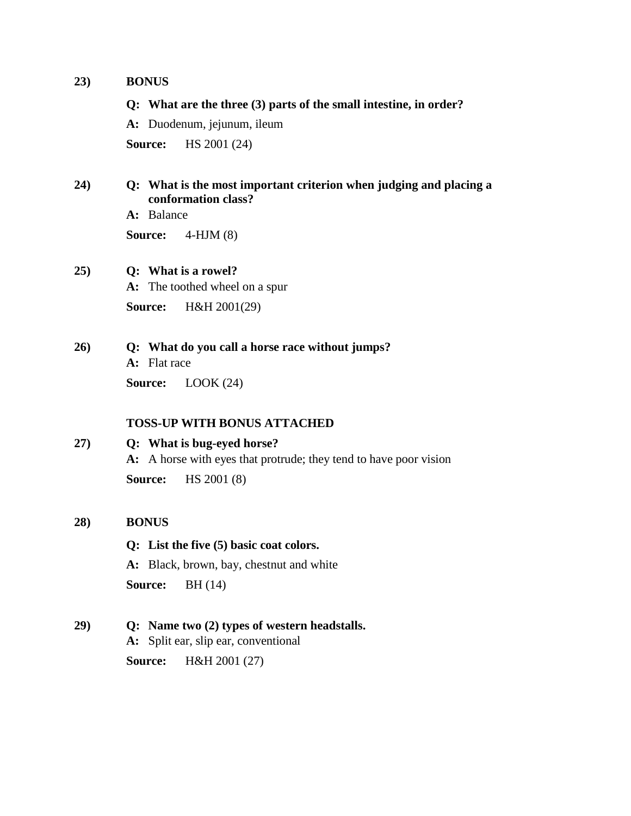### **23) BONUS**

**Q: What are the three (3) parts of the small intestine, in order?**

**A:** Duodenum, jejunum, ileum

**Source:** HS 2001 (24)

## **24) Q: What is the most important criterion when judging and placing a conformation class?**

**A:** Balance

**Source:** 4-HJM (8)

## **25) Q: What is a rowel?**

**A:** The toothed wheel on a spur

**Source:** H&H 2001(29)

**26) Q: What do you call a horse race without jumps?**

**A:** Flat race

**Source:** LOOK (24)

## **TOSS-UP WITH BONUS ATTACHED**

## **27) Q: What is bug-eyed horse?**

**A:** A horse with eyes that protrude; they tend to have poor vision **Source:** HS 2001 (8)

## **28) BONUS**

## **Q: List the five (5) basic coat colors.**

**A:** Black, brown, bay, chestnut and white

**Source:** BH (14)

**29) Q: Name two (2) types of western headstalls.**

**A:** Split ear, slip ear, conventional

**Source:** H&H 2001 (27)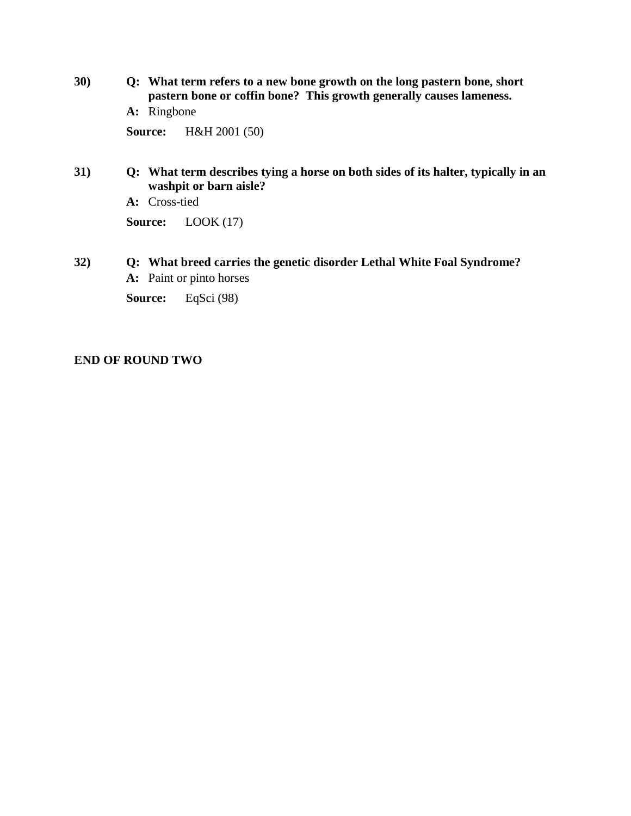**30) Q: What term refers to a new bone growth on the long pastern bone, short pastern bone or coffin bone? This growth generally causes lameness.**

**A:** Ringbone

**Source:** H&H 2001 (50)

**31) Q: What term describes tying a horse on both sides of its halter, typically in an washpit or barn aisle?**

**A:** Cross-tied

**Source:** LOOK (17)

**32) Q: What breed carries the genetic disorder Lethal White Foal Syndrome? A:** Paint or pinto horses

**Source:** EqSci (98)

## **END OF ROUND TWO**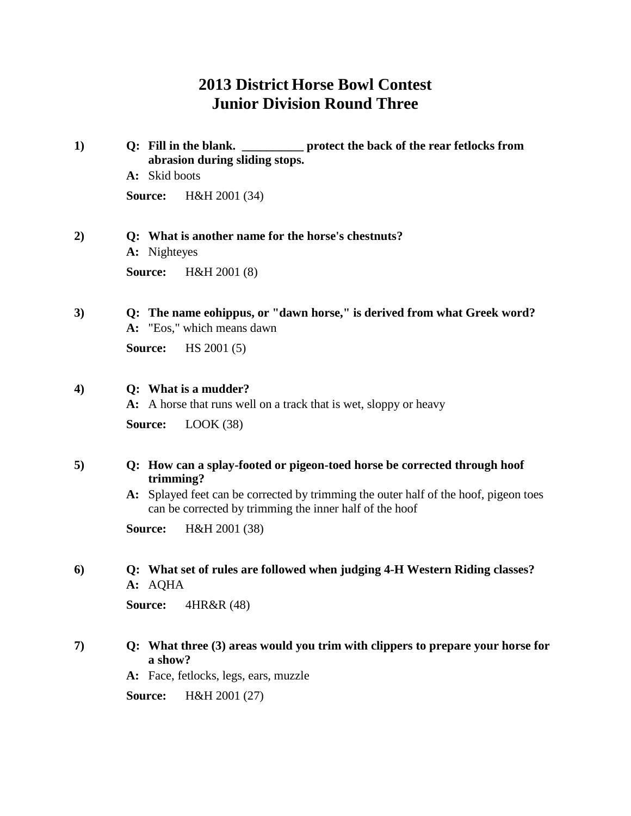# **2013 District Horse Bowl Contest Junior Division Round Three**

| 1)               | Q: Fill in the blank. ___________ protect the back of the rear fetlocks from<br>abrasion during sliding stops.                                  |  |  |  |
|------------------|-------------------------------------------------------------------------------------------------------------------------------------------------|--|--|--|
|                  | A: Skid boots                                                                                                                                   |  |  |  |
|                  | Source:<br>H&H 2001 (34)                                                                                                                        |  |  |  |
| 2)               | Q: What is another name for the horse's chestnuts?<br>A: Nighteyes                                                                              |  |  |  |
|                  | H&H 2001 (8)<br>Source:                                                                                                                         |  |  |  |
| 3)               | Q: The name eohippus, or "dawn horse," is derived from what Greek word?<br>A: "Eos," which means dawn                                           |  |  |  |
|                  | HS 2001(5)<br>Source:                                                                                                                           |  |  |  |
| $\boldsymbol{4}$ | Q: What is a mudder?<br>A: A horse that runs well on a track that is wet, sloppy or heavy                                                       |  |  |  |
|                  | LOOK(38)<br>Source:                                                                                                                             |  |  |  |
| 5)               | Q: How can a splay-footed or pigeon-toed horse be corrected through hoof<br>trimming?                                                           |  |  |  |
|                  | A: Splayed feet can be corrected by trimming the outer half of the hoof, pigeon toes<br>can be corrected by trimming the inner half of the hoof |  |  |  |
|                  | H&H 2001 (38)<br>Source:                                                                                                                        |  |  |  |
| 6)               | Q: What set of rules are followed when judging 4-H Western Riding classes?<br>A: AQHA                                                           |  |  |  |
|                  | Source:<br>4HR&R (48)                                                                                                                           |  |  |  |
| 7)               | Q: What three (3) areas would you trim with clippers to prepare your horse for<br>a show?                                                       |  |  |  |
|                  | A: Face, fetlocks, legs, ears, muzzle                                                                                                           |  |  |  |
|                  | Source:<br>H&H 2001 (27)                                                                                                                        |  |  |  |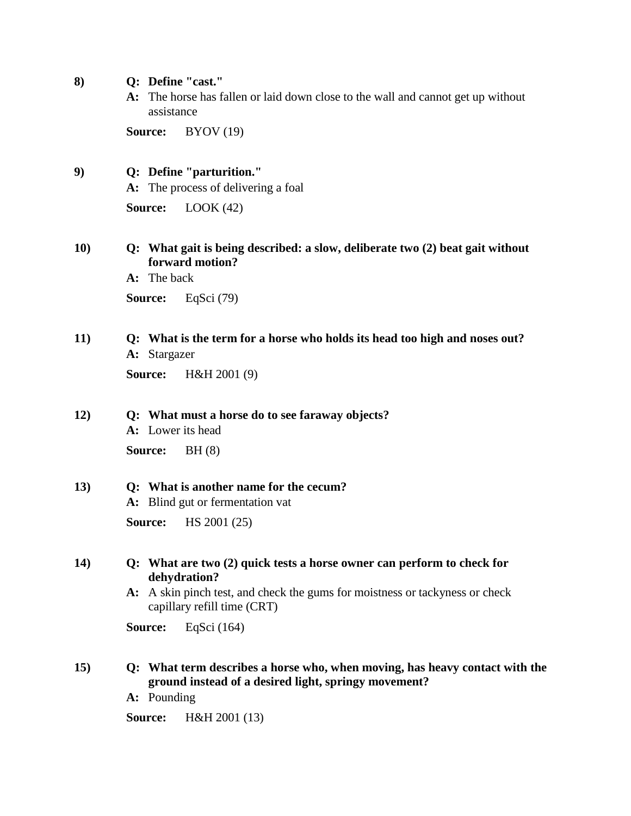- **8) Q: Define "cast."**
	- **A:** The horse has fallen or laid down close to the wall and cannot get up without assistance

**Source:** BYOV (19)

**9) Q: Define "parturition."**

**A:** The process of delivering a foal

**Source:** LOOK (42)

**10) Q: What gait is being described: a slow, deliberate two (2) beat gait without forward motion?**

**A:** The back

**Source:** EqSci (79)

**11) Q: What is the term for a horse who holds its head too high and noses out? A:** Stargazer

**Source:** H&H 2001 (9)

#### **12) Q: What must a horse do to see faraway objects?**

**A:** Lower its head **Source:** BH (8)

## **13) Q: What is another name for the cecum?**

**A:** Blind gut or fermentation vat

**Source:** HS 2001 (25)

- **14) Q: What are two (2) quick tests a horse owner can perform to check for dehydration?**
	- **A:** A skin pinch test, and check the gums for moistness or tackyness or check capillary refill time (CRT)

**Source:** EqSci (164)

- **15) Q: What term describes a horse who, when moving, has heavy contact with the ground instead of a desired light, springy movement?**
	- **A:** Pounding
	- **Source:** H&H 2001 (13)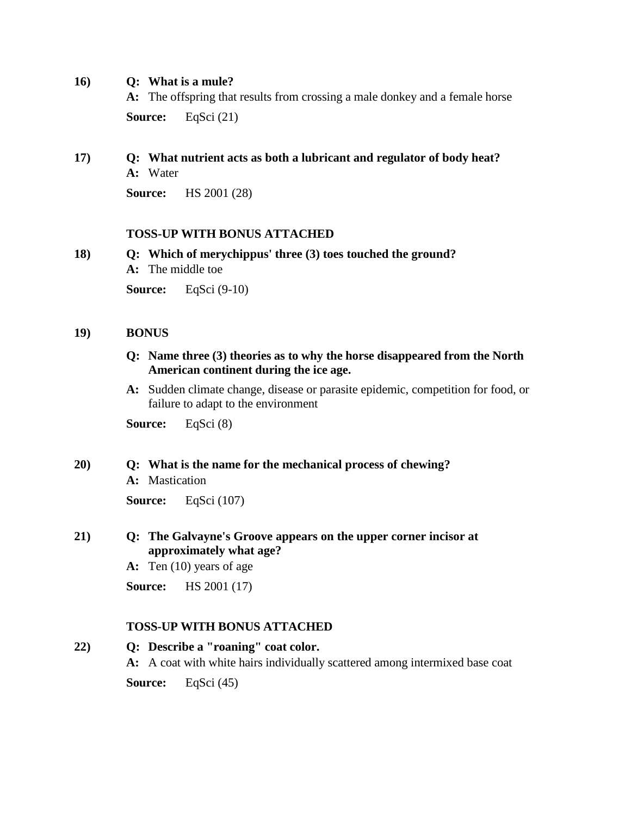**16) Q: What is a mule?**

**A:** The offspring that results from crossing a male donkey and a female horse **Source:** EqSci (21)

## **17) Q: What nutrient acts as both a lubricant and regulator of body heat? A:** Water

**Source:** HS 2001 (28)

## **TOSS-UP WITH BONUS ATTACHED**

**18) Q: Which of merychippus' three (3) toes touched the ground?**

**A:** The middle toe

**Source:** EqSci (9-10)

## **19) BONUS**

- **Q: Name three (3) theories as to why the horse disappeared from the North American continent during the ice age.**
- **A:** Sudden climate change, disease or parasite epidemic, competition for food, or failure to adapt to the environment

**Source:** EqSci (8)

## **20) Q: What is the name for the mechanical process of chewing?**

**A:** Mastication

**Source:** EqSci (107)

- **21) Q: The Galvayne's Groove appears on the upper corner incisor at approximately what age?**
	- **A:** Ten (10) years of age

**Source:** HS 2001 (17)

## **TOSS-UP WITH BONUS ATTACHED**

## **22) Q: Describe a "roaning" coat color. A:** A coat with white hairs individually scattered among intermixed base coat **Source:** EqSci (45)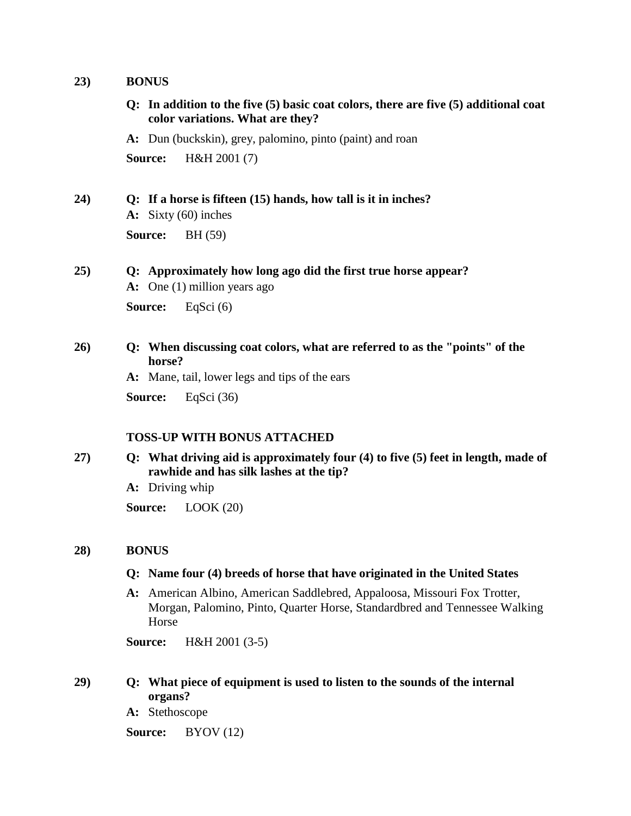### **23) BONUS**

**Q: In addition to the five (5) basic coat colors, there are five (5) additional coat color variations. What are they?**

**A:** Dun (buckskin), grey, palomino, pinto (paint) and roan

**Source:** H&H 2001 (7)

## **24) Q: If a horse is fifteen (15) hands, how tall is it in inches?**

**A:** Sixty (60) inches

**Source:** BH (59)

# **25) Q: Approximately how long ago did the first true horse appear? A:** One (1) million years ago

**Source:** EqSci (6)

## **26) Q: When discussing coat colors, what are referred to as the "points" of the horse?**

**A:** Mane, tail, lower legs and tips of the ears

**Source:** EqSci (36)

## **TOSS-UP WITH BONUS ATTACHED**

- **27) Q: What driving aid is approximately four (4) to five (5) feet in length, made of rawhide and has silk lashes at the tip?**
	- **A:** Driving whip

**Source:** LOOK (20)

## **28) BONUS**

## **Q: Name four (4) breeds of horse that have originated in the United States**

**A:** American Albino, American Saddlebred, Appaloosa, Missouri Fox Trotter, Morgan, Palomino, Pinto, Quarter Horse, Standardbred and Tennessee Walking Horse

**Source:** H&H 2001 (3-5)

## **29) Q: What piece of equipment is used to listen to the sounds of the internal organs?**

**A:** Stethoscope

**Source:** BYOV (12)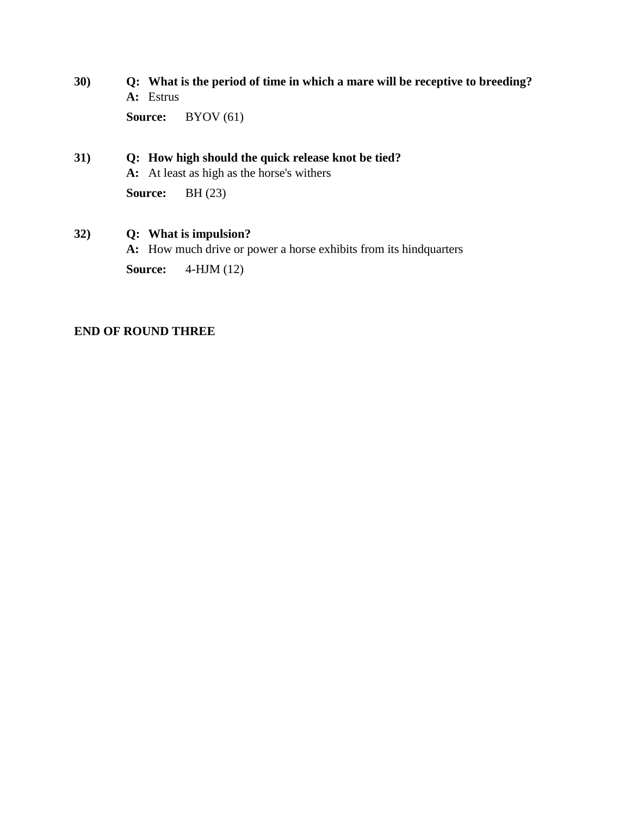**30) Q: What is the period of time in which a mare will be receptive to breeding? A:** Estrus

**Source:** BYOV (61)

## **31) Q: How high should the quick release knot be tied? A:** At least as high as the horse's withers

**Source:** BH (23)

## **32) Q: What is impulsion?**

**A:** How much drive or power a horse exhibits from its hindquarters

**Source:** 4-HJM (12)

## **END OF ROUND THREE**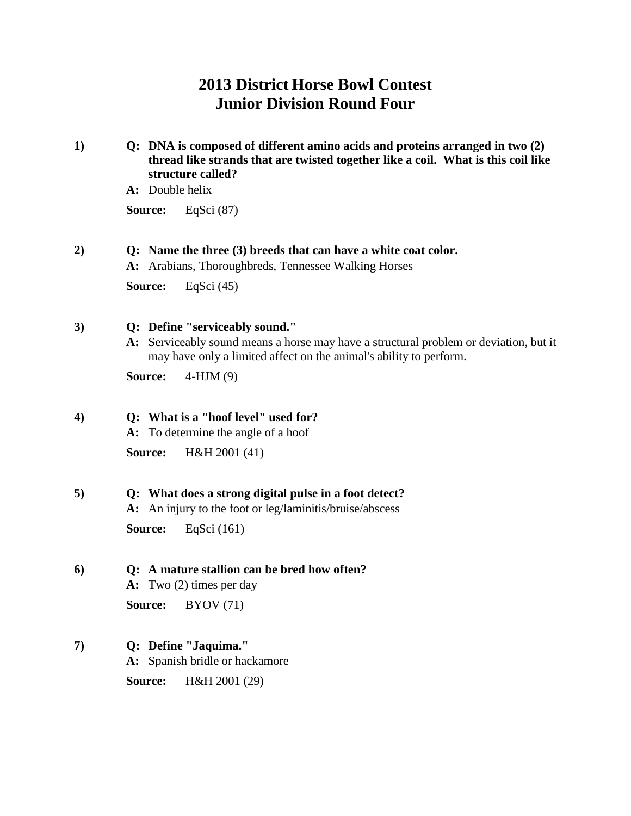## **2013 District Horse Bowl Contest Junior Division Round Four**

- **1) Q: DNA is composed of different amino acids and proteins arranged in two (2) thread like strands that are twisted together like a coil. What is this coil like structure called?**
	- **A:** Double helix

**Source:** EqSci (87)

## **2) Q: Name the three (3) breeds that can have a white coat color.**

**A:** Arabians, Thoroughbreds, Tennessee Walking Horses

**Source:** EqSci (45)

- **3) Q: Define "serviceably sound."**
	- **A:** Serviceably sound means a horse may have a structural problem or deviation, but it may have only a limited affect on the animal's ability to perform.

**Source:** 4-HJM (9)

## **4) Q: What is a "hoof level" used for?**

**A:** To determine the angle of a hoof **Source:** H&H 2001 (41)

## **5) Q: What does a strong digital pulse in a foot detect?**

**A:** An injury to the foot or leg/laminitis/bruise/abscess **Source:** EqSci (161)

## **6) Q: A mature stallion can be bred how often?**

**A:** Two (2) times per day

**Source:** BYOV (71)

## **7) Q: Define "Jaquima."**

**A:** Spanish bridle or hackamore

**Source:** H&H 2001 (29)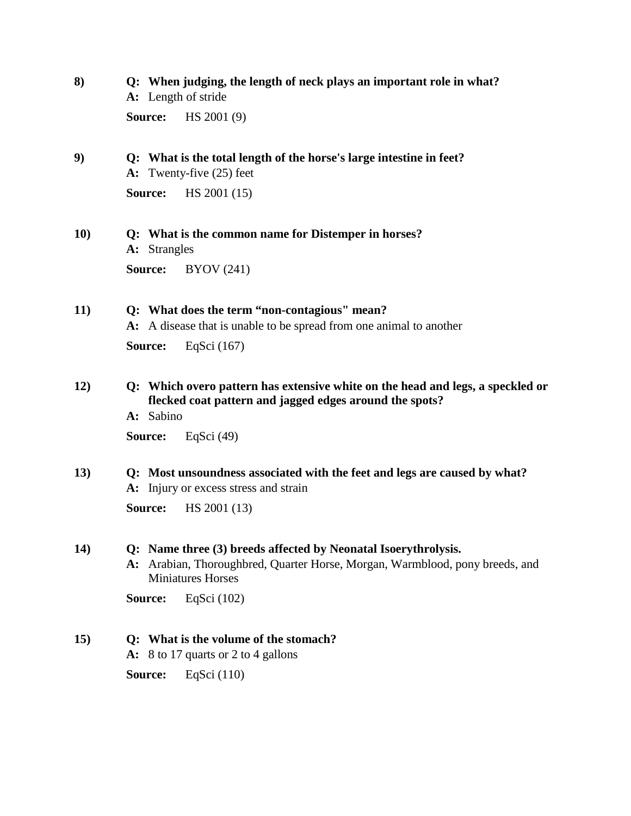- **8) Q: When judging, the length of neck plays an important role in what? A:** Length of stride **Source:** HS 2001 (9)
- **9) Q: What is the total length of the horse's large intestine in feet? A:** Twenty-five (25) feet

**Source:** HS 2001 (15)

- **10) Q: What is the common name for Distemper in horses? A:** Strangles **Source:** BYOV (241)
- **11) Q: What does the term "non-contagious" mean?**

**A:** A disease that is unable to be spread from one animal to another

**Source:** EqSci (167)

- **12) Q: Which overo pattern has extensive white on the head and legs, a speckled or flecked coat pattern and jagged edges around the spots?**
	- **A:** Sabino

**Source:** EqSci (49)

**13) Q: Most unsoundness associated with the feet and legs are caused by what? A:** Injury or excess stress and strain

**Source:** HS 2001 (13)

## **14) Q: Name three (3) breeds affected by Neonatal Isoerythrolysis.**

**A:** Arabian, Thoroughbred, Quarter Horse, Morgan, Warmblood, pony breeds, and Miniatures Horses

**Source:** EqSci (102)

## **15) Q: What is the volume of the stomach?**

**A:** 8 to 17 quarts or 2 to 4 gallons

**Source:** EqSci (110)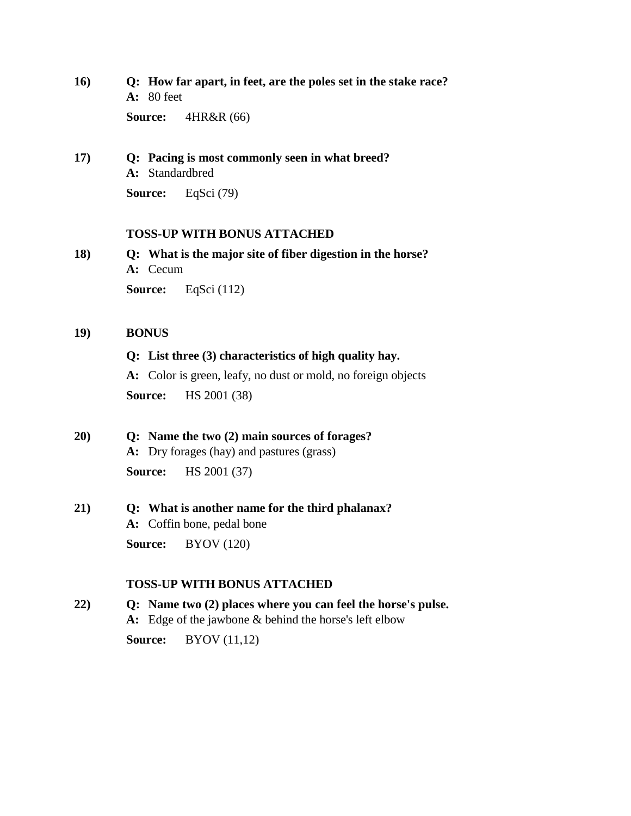**16) Q: How far apart, in feet, are the poles set in the stake race? A:** 80 feet

**Source:** 4HR&R (66)

**17) Q: Pacing is most commonly seen in what breed? A:** Standardbred

**Source:** EqSci (79)

## **TOSS-UP WITH BONUS ATTACHED**

**18) Q: What is the major site of fiber digestion in the horse? A:** Cecum **Source:** EqSci (112)

### **19) BONUS**

## **Q: List three (3) characteristics of high quality hay.**

**A:** Color is green, leafy, no dust or mold, no foreign objects

**Source:** HS 2001 (38)

## **20) Q: Name the two (2) main sources of forages? A:** Dry forages (hay) and pastures (grass) **Source:** HS 2001 (37)

## **21) Q: What is another name for the third phalanax? A:** Coffin bone, pedal bone

**Source:** BYOV (120)

## **TOSS-UP WITH BONUS ATTACHED**

**22) Q: Name two (2) places where you can feel the horse's pulse. A:** Edge of the jawbone & behind the horse's left elbow

**Source:** BYOV (11,12)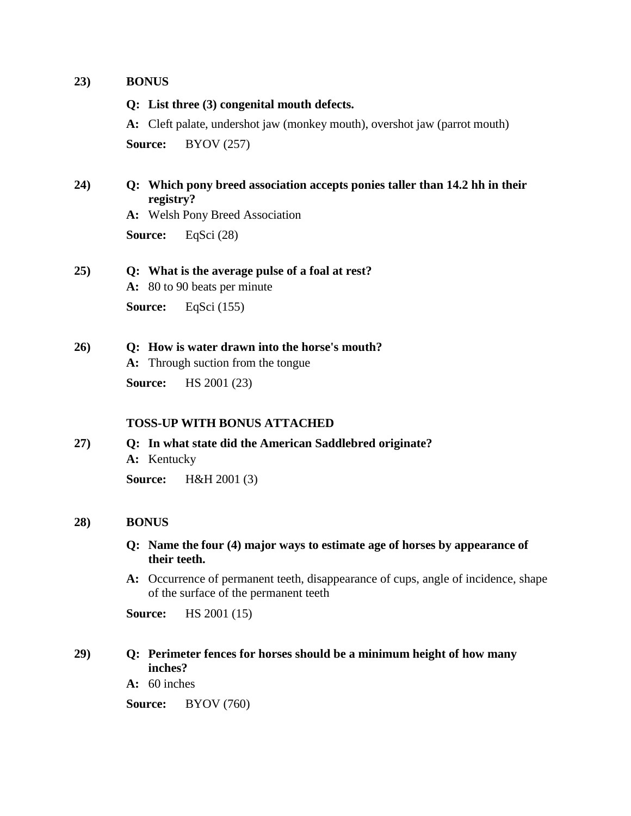### **23) BONUS**

### **Q: List three (3) congenital mouth defects.**

**A:** Cleft palate, undershot jaw (monkey mouth), overshot jaw (parrot mouth) **Source:** BYOV (257)

## **24) Q: Which pony breed association accepts ponies taller than 14.2 hh in their registry?**

**A:** Welsh Pony Breed Association

**Source:** EqSci (28)

## **25) Q: What is the average pulse of a foal at rest?**

**A:** 80 to 90 beats per minute

**Source:** EqSci (155)

## **26) Q: How is water drawn into the horse's mouth?**

**A:** Through suction from the tongue

**Source:** HS 2001 (23)

## **TOSS-UP WITH BONUS ATTACHED**

**27) Q: In what state did the American Saddlebred originate? A:** Kentucky **Source:** H&H 2001 (3)

## **28) BONUS**

### **Q: Name the four (4) major ways to estimate age of horses by appearance of their teeth.**

**A:** Occurrence of permanent teeth, disappearance of cups, angle of incidence, shape of the surface of the permanent teeth

**Source:** HS 2001 (15)

## **29) Q: Perimeter fences for horses should be a minimum height of how many inches?**

**A:** 60 inches

**Source:** BYOV (760)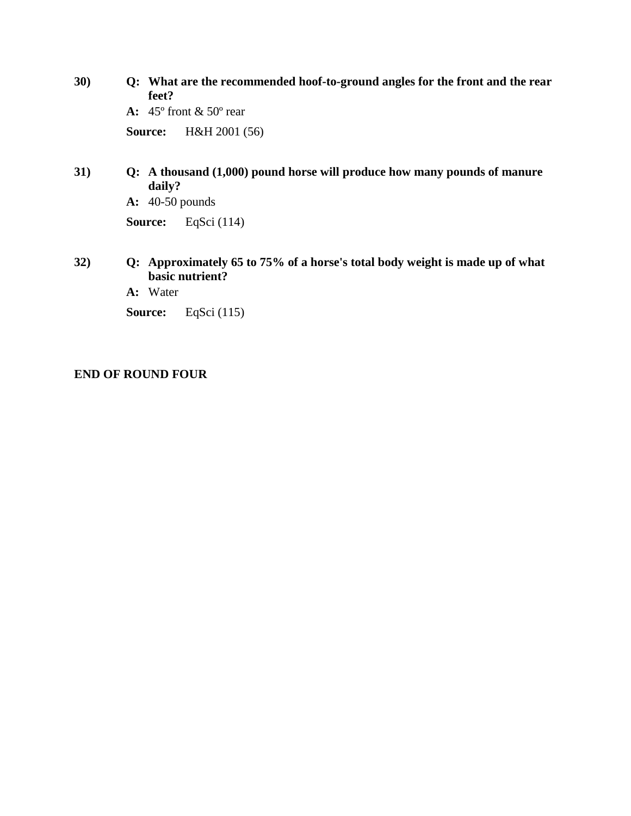**30) Q: What are the recommended hoof-to-ground angles for the front and the rear feet? A:** 45º front & 50º rear **Source:** H&H 2001 (56)

**31) Q: A thousand (1,000) pound horse will produce how many pounds of manure daily?**

**A:** 40-50 pounds

**Source:** EqSci (114)

- **32) Q: Approximately 65 to 75% of a horse's total body weight is made up of what basic nutrient?**
	- **A:** Water

**Source:** EqSci (115)

## **END OF ROUND FOUR**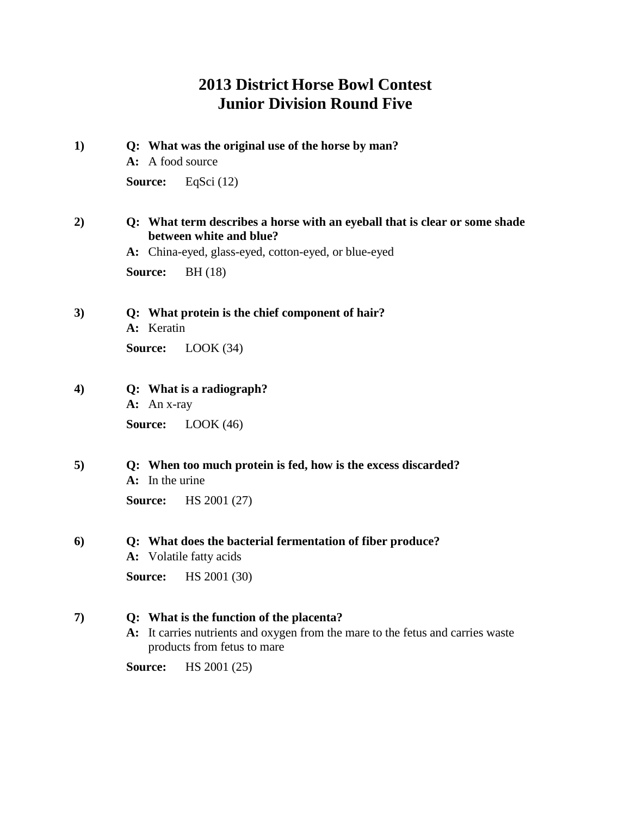## **2013 District Horse Bowl Contest Junior Division Round Five**

**1) Q: What was the original use of the horse by man? A:** A food source **Source:** EqSci (12) **2) Q: What term describes a horse with an eyeball that is clear or some shade between white and blue? A:** China-eyed, glass-eyed, cotton-eyed, or blue-eyed **Source:** BH (18) **3) Q: What protein is the chief component of hair? A:** Keratin **Source:** LOOK (34) **4) Q: What is a radiograph? A:** An x-ray **Source:** LOOK (46) **5) Q: When too much protein is fed, how is the excess discarded? A:** In the urine **Source:** HS 2001 (27) **6) Q: What does the bacterial fermentation of fiber produce? A:** Volatile fatty acids

**Source:** HS 2001 (30)

#### **7) Q: What is the function of the placenta?**

**A:** It carries nutrients and oxygen from the mare to the fetus and carries waste products from fetus to mare

**Source:** HS 2001 (25)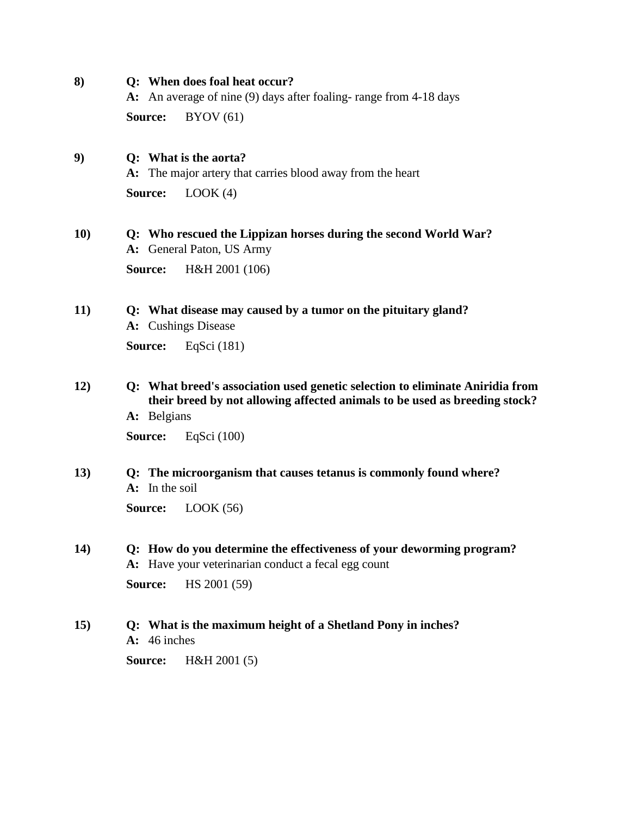**8) Q: When does foal heat occur?**

**A:** An average of nine (9) days after foaling- range from 4-18 days

**Source:** BYOV (61)

## **9) Q: What is the aorta?**

**A:** The major artery that carries blood away from the heart

**Source:** LOOK (4)

- **10) Q: Who rescued the Lippizan horses during the second World War? A:** General Paton, US Army **Source:** H&H 2001 (106)
- **11) Q: What disease may caused by a tumor on the pituitary gland? A:** Cushings Disease **Source:** EqSci (181)

**12) Q: What breed's association used genetic selection to eliminate Aniridia from their breed by not allowing affected animals to be used as breeding stock?**

**A:** Belgians

**Source:** EqSci (100)

**13) Q: The microorganism that causes tetanus is commonly found where? A:** In the soil

**Source:** LOOK (56)

- **14) Q: How do you determine the effectiveness of your deworming program? A:** Have your veterinarian conduct a fecal egg count **Source:** HS 2001 (59)
- **15) Q: What is the maximum height of a Shetland Pony in inches? A:** 46 inches

**Source:** H&H 2001 (5)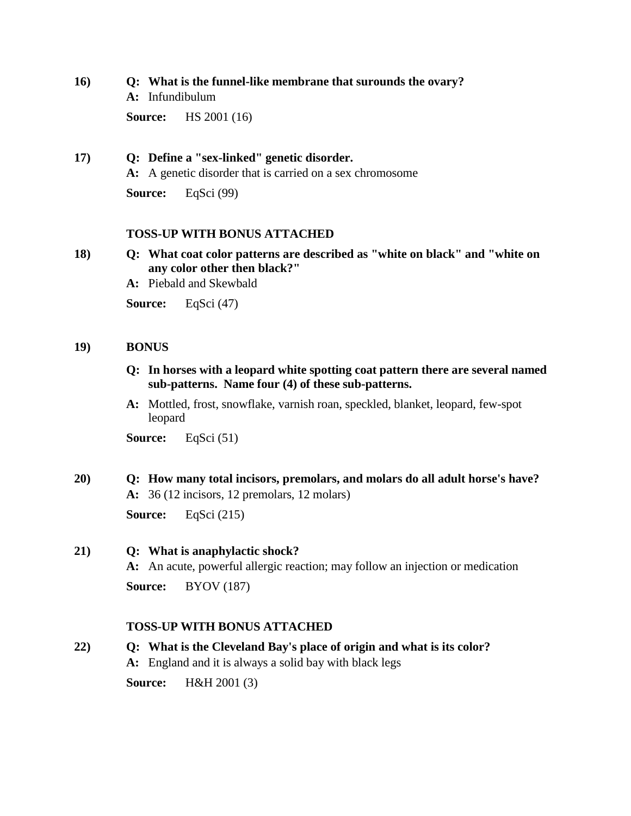## **16) Q: What is the funnel-like membrane that surounds the ovary?**

**A:** Infundibulum

**Source:** HS 2001 (16)

## **17) Q: Define a "sex-linked" genetic disorder.**

**A:** A genetic disorder that is carried on a sex chromosome

**Source:** EqSci (99)

## **TOSS-UP WITH BONUS ATTACHED**

- **18) Q: What coat color patterns are described as "white on black" and "white on any color other then black?"**
	- **A:** Piebald and Skewbald

**Source:** EqSci (47)

## **19) BONUS**

- **Q: In horses with a leopard white spotting coat pattern there are several named sub-patterns. Name four (4) of these sub-patterns.**
- **A:** Mottled, frost, snowflake, varnish roan, speckled, blanket, leopard, few-spot leopard

**Source:** EqSci (51)

# **20) Q: How many total incisors, premolars, and molars do all adult horse's have? A:** 36 (12 incisors, 12 premolars, 12 molars)

**Source:** EqSci (215)

## **21) Q: What is anaphylactic shock?**

**A:** An acute, powerful allergic reaction; may follow an injection or medication **Source:** BYOV (187)

## **TOSS-UP WITH BONUS ATTACHED**

# **22) Q: What is the Cleveland Bay's place of origin and what is its color? A:** England and it is always a solid bay with black legs

**Source:** H&H 2001 (3)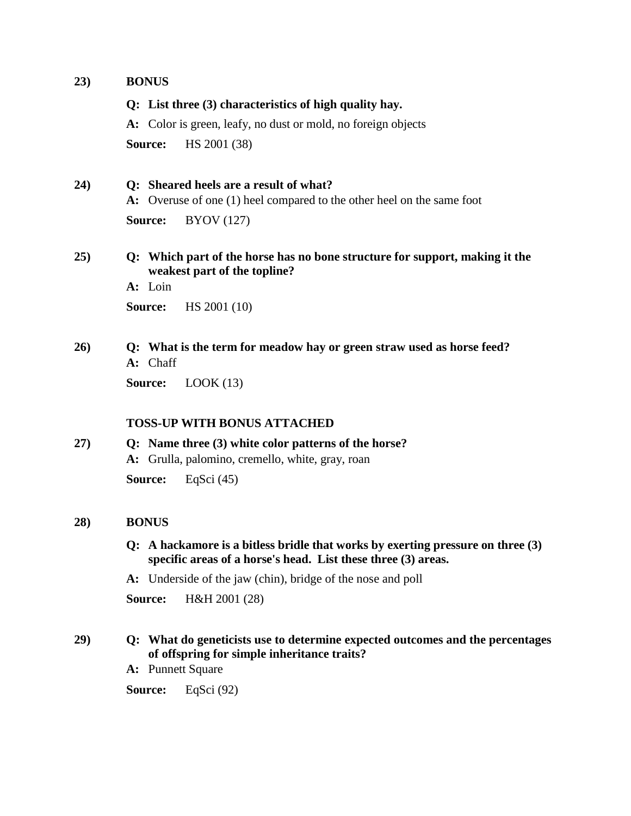## **23) BONUS**

### **Q: List three (3) characteristics of high quality hay.**

**A:** Color is green, leafy, no dust or mold, no foreign objects **Source:** HS 2001 (38)

## **24) Q: Sheared heels are a result of what?**

**A:** Overuse of one (1) heel compared to the other heel on the same foot **Source:** BYOV (127)

## **25) Q: Which part of the horse has no bone structure for support, making it the weakest part of the topline?**

**A:** Loin

**Source:** HS 2001 (10)

## **26) Q: What is the term for meadow hay or green straw used as horse feed? A:** Chaff

**Source:** LOOK (13)

## **TOSS-UP WITH BONUS ATTACHED**

## **27) Q: Name three (3) white color patterns of the horse? A:** Grulla, palomino, cremello, white, gray, roan

**Source:** EqSci (45)

## **28) BONUS**

- **Q: A hackamore is a bitless bridle that works by exerting pressure on three (3) specific areas of a horse's head. List these three (3) areas.**
- **A:** Underside of the jaw (chin), bridge of the nose and poll

**Source:** H&H 2001 (28)

## **29) Q: What do geneticists use to determine expected outcomes and the percentages of offspring for simple inheritance traits?**

**A:** Punnett Square

**Source:** EqSci (92)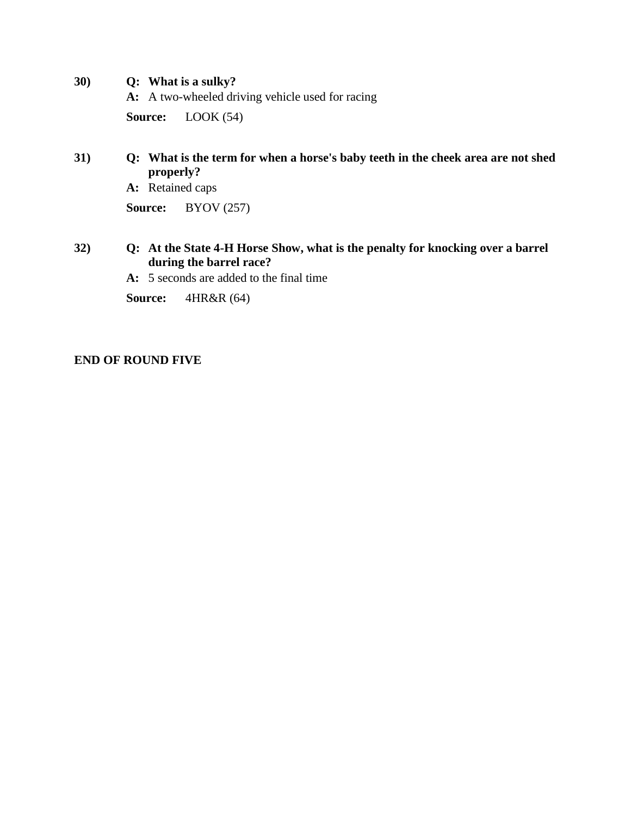- **30) Q: What is a sulky?**
	- **A:** A two-wheeled driving vehicle used for racing

**Source:** LOOK (54)

## **31) Q: What is the term for when a horse's baby teeth in the cheek area are not shed properly?**

**A:** Retained caps

**Source:** BYOV (257)

## **32) Q: At the State 4-H Horse Show, what is the penalty for knocking over a barrel during the barrel race?**

**A:** 5 seconds are added to the final time

**Source:** 4HR&R (64)

## **END OF ROUND FIVE**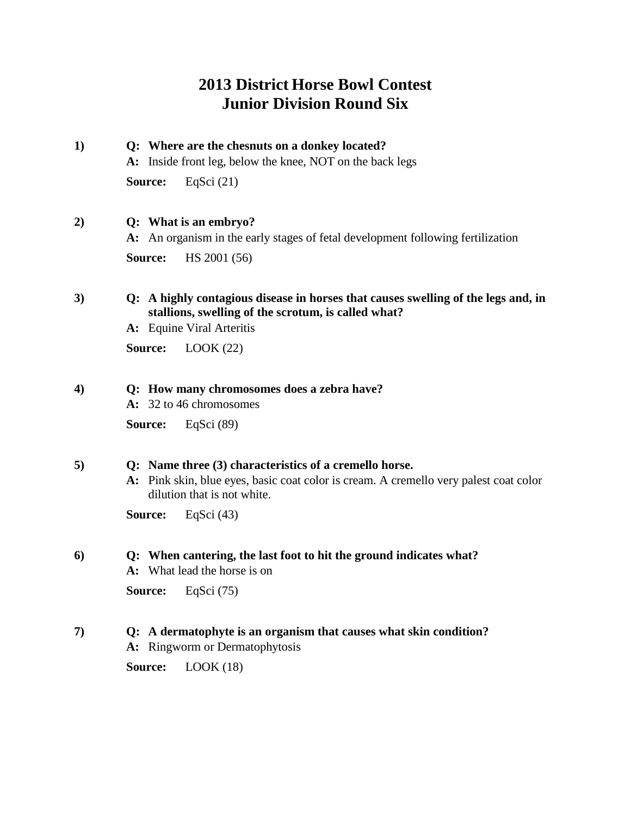## **2013 District Horse Bowl Contest Junior Division Round Six**

**1) Q: Where are the chesnuts on a donkey located? A:** Inside front leg, below the knee, NOT on the back legs **Source:** EqSci (21)

## **2) Q: What is an embryo?**

**A:** An organism in the early stages of fetal development following fertilization **Source:** HS 2001 (56)

## **3) Q: A highly contagious disease in horses that causes swelling of the legs and, in stallions, swelling of the scrotum, is called what?**

**A:** Equine Viral Arteritis

**Source:** LOOK (22)

### **4) Q: How many chromosomes does a zebra have?**

**A:** 32 to 46 chromosomes

**Source:** EqSci (89)

## **5) Q: Name three (3) characteristics of a cremello horse.**

**A:** Pink skin, blue eyes, basic coat color is cream. A cremello very palest coat color dilution that is not white.

**Source:** EqSci (43)

## **6) Q: When cantering, the last foot to hit the ground indicates what?**

**A:** What lead the horse is on

**Source:** EqSci (75)

## **7) Q: A dermatophyte is an organism that causes what skin condition?**

**A:** Ringworm or Dermatophytosis

**Source:** LOOK (18)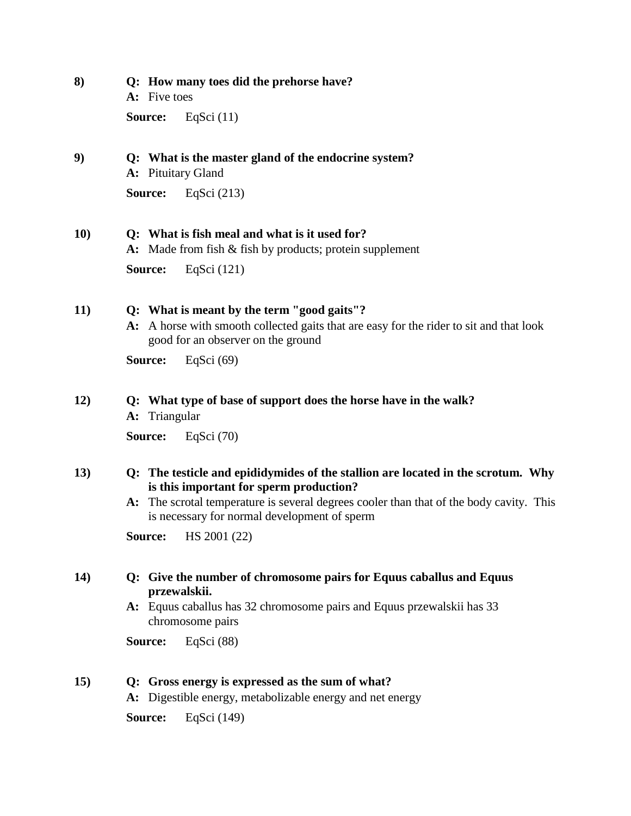**8) Q: How many toes did the prehorse have? A:** Five toes

**Source:** EqSci (11)

**9) Q: What is the master gland of the endocrine system?**

**A:** Pituitary Gland

**Source:** EqSci (213)

## **10) Q: What is fish meal and what is it used for?**

**A:** Made from fish & fish by products; protein supplement

**Source:** EqSci (121)

## **11) Q: What is meant by the term "good gaits"?**

**A:** A horse with smooth collected gaits that are easy for the rider to sit and that look good for an observer on the ground

**Source:** EqSci (69)

## **12) Q: What type of base of support does the horse have in the walk?**

**A:** Triangular

**Source:** EqSci (70)

## **13) Q: The testicle and epididymides of the stallion are located in the scrotum. Why is this important for sperm production?**

**A:** The scrotal temperature is several degrees cooler than that of the body cavity. This is necessary for normal development of sperm

**Source:** HS 2001 (22)

## **14) Q: Give the number of chromosome pairs for Equus caballus and Equus przewalskii.**

**A:** Equus caballus has 32 chromosome pairs and Equus przewalskii has 33 chromosome pairs

**Source:** EqSci (88)

## **15) Q: Gross energy is expressed as the sum of what?**

**A:** Digestible energy, metabolizable energy and net energy

**Source:** EqSci (149)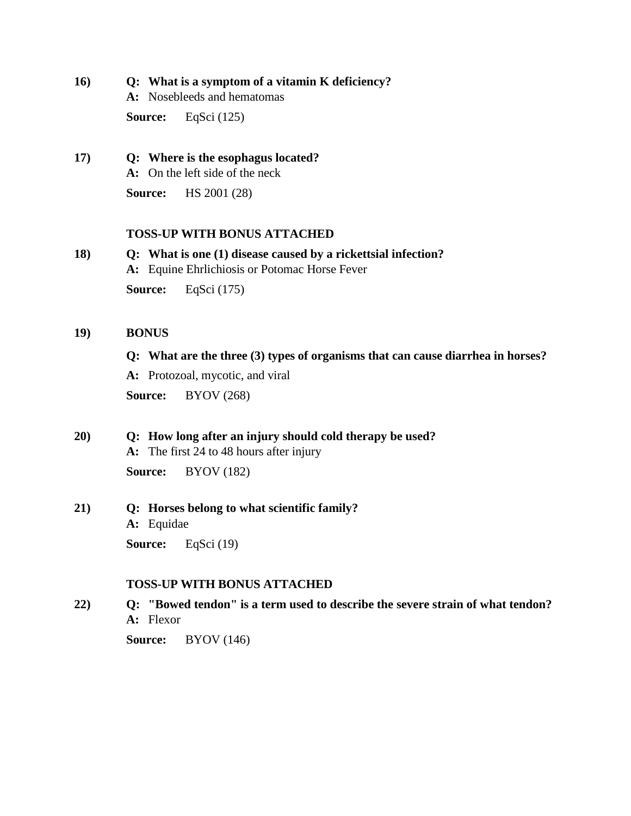**16) Q: What is a symptom of a vitamin K deficiency?**

**A:** Nosebleeds and hematomas

**Source:** EqSci (125)

**17) Q: Where is the esophagus located? A:** On the left side of the neck **Source:** HS 2001 (28)

## **TOSS-UP WITH BONUS ATTACHED**

**18) Q: What is one (1) disease caused by a rickettsial infection? A:** Equine Ehrlichiosis or Potomac Horse Fever

**Source:** EqSci (175)

### **19) BONUS**

**Q: What are the three (3) types of organisms that can cause diarrhea in horses?**

**A:** Protozoal, mycotic, and viral

**Source:** BYOV (268)

## **20) Q: How long after an injury should cold therapy be used?**

**A:** The first 24 to 48 hours after injury

**Source:** BYOV (182)

## **21) Q: Horses belong to what scientific family? A:** Equidae

**Source:** EqSci (19)

## **TOSS-UP WITH BONUS ATTACHED**

**22) Q: "Bowed tendon" is a term used to describe the severe strain of what tendon? A:** Flexor

**Source:** BYOV (146)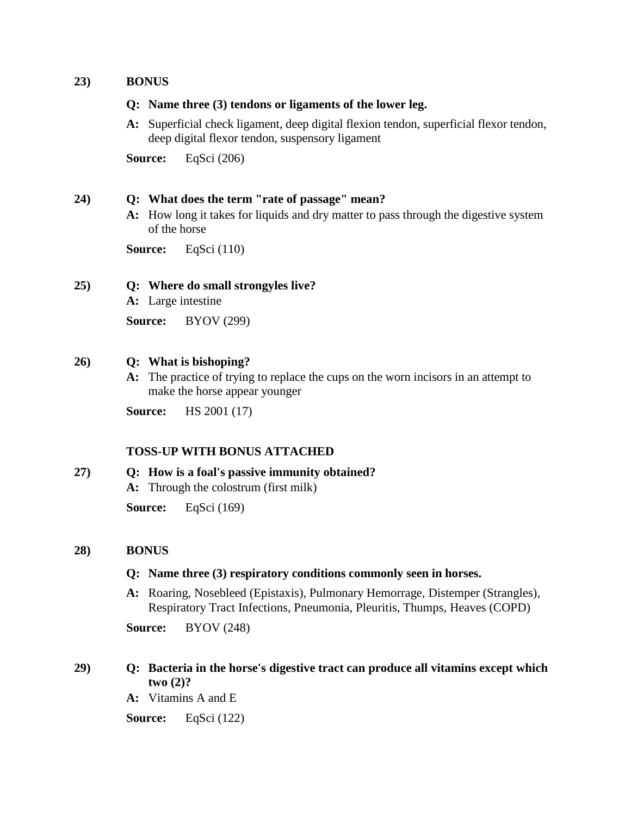## **23) BONUS**

### **Q: Name three (3) tendons or ligaments of the lower leg.**

**A:** Superficial check ligament, deep digital flexion tendon, superficial flexor tendon, deep digital flexor tendon, suspensory ligament

**Source:** EqSci (206)

### **24) Q: What does the term "rate of passage" mean?**

**A:** How long it takes for liquids and dry matter to pass through the digestive system of the horse

**Source:** EqSci (110)

## **25) Q: Where do small strongyles live?**

**A:** Large intestine

**Source:** BYOV (299)

### **26) Q: What is bishoping?**

**A:** The practice of trying to replace the cups on the worn incisors in an attempt to make the horse appear younger

**Source:** HS 2001 (17)

## **TOSS-UP WITH BONUS ATTACHED**

## **27) Q: How is a foal's passive immunity obtained? A:** Through the colostrum (first milk)

**Source:** EqSci (169)

## **28) BONUS**

## **Q: Name three (3) respiratory conditions commonly seen in horses.**

**A:** Roaring, Nosebleed (Epistaxis), Pulmonary Hemorrage, Distemper (Strangles), Respiratory Tract Infections, Pneumonia, Pleuritis, Thumps, Heaves (COPD)

**Source:** BYOV (248)

## **29) Q: Bacteria in the horse's digestive tract can produce all vitamins except which two (2)?**

**A:** Vitamins A and E

**Source:** EqSci (122)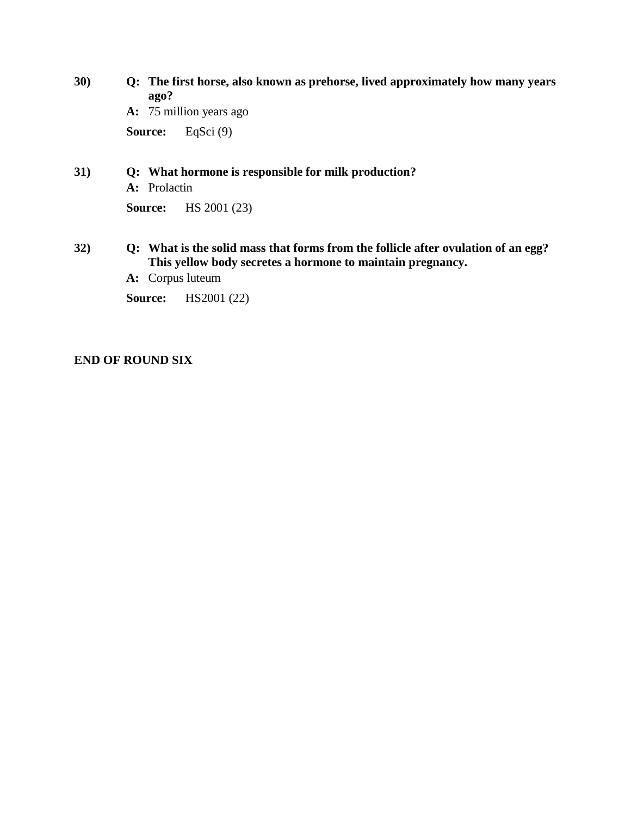**30) Q: The first horse, also known as prehorse, lived approximately how many years ago? A:** 75 million years ago **Source:** EqSci (9)

**31) Q: What hormone is responsible for milk production? A:** Prolactin **Source:** HS 2001 (23)

## **32) Q: What is the solid mass that forms from the follicle after ovulation of an egg? This yellow body secretes a hormone to maintain pregnancy.**

**A:** Corpus luteum

**Source:** HS2001 (22)

## **END OF ROUND SIX**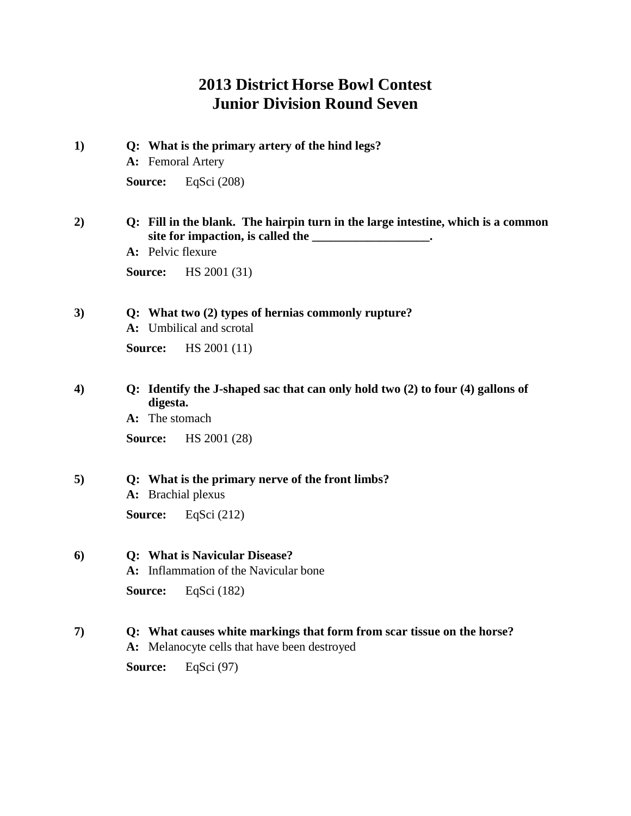# **2013 District Horse Bowl Contest Junior Division Round Seven**

| $\bf{1)}$ | Q: What is the primary artery of the hind legs?<br>A: Femoral Artery                                                                    |  |  |  |
|-----------|-----------------------------------------------------------------------------------------------------------------------------------------|--|--|--|
|           | Source:<br>EqSci (208)                                                                                                                  |  |  |  |
| 2)        | Q: Fill in the blank. The hairpin turn in the large intestine, which is a common                                                        |  |  |  |
|           | A: Pelvic flexure<br>HS 2001 (31)<br>Source:                                                                                            |  |  |  |
| 3)        | Q: What two (2) types of hernias commonly rupture?<br>A: Umbilical and scrotal                                                          |  |  |  |
|           | Source:<br>HS 2001 (11)                                                                                                                 |  |  |  |
| 4)        | Q: Identify the J-shaped sac that can only hold two (2) to four (4) gallons of<br>digesta.<br>A: The stomach<br>HS 2001 (28)<br>Source: |  |  |  |
| 5)        | Q: What is the primary nerve of the front limbs?<br>A: Brachial plexus                                                                  |  |  |  |
|           | Source:<br>EqSci $(212)$                                                                                                                |  |  |  |
| 6)        | <b>Q:</b> What is Navicular Disease?<br>A: Inflammation of the Navicular bone                                                           |  |  |  |
|           | Source:<br>EqSci $(182)$                                                                                                                |  |  |  |
| 7)        | Q: What causes white markings that form from scar tissue on the horse?<br>A: Melanocyte cells that have been destroyed                  |  |  |  |
|           | EqSci $(97)$<br>Source:                                                                                                                 |  |  |  |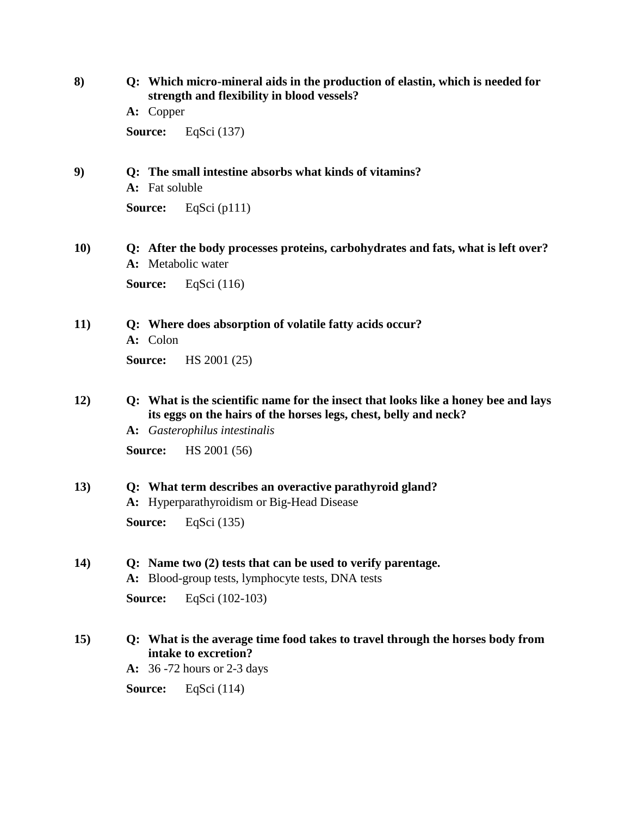| 8)  | Q: Which micro-mineral aids in the production of elastin, which is needed for<br>strength and flexibility in blood vessels?<br>A: Copper    |                                                                                                                                                                                         |  |  |
|-----|---------------------------------------------------------------------------------------------------------------------------------------------|-----------------------------------------------------------------------------------------------------------------------------------------------------------------------------------------|--|--|
|     |                                                                                                                                             |                                                                                                                                                                                         |  |  |
|     | Source:                                                                                                                                     | EqSci (137)                                                                                                                                                                             |  |  |
| 9)  | Q: The small intestine absorbs what kinds of vitamins?<br>A: Fat soluble                                                                    |                                                                                                                                                                                         |  |  |
|     | Source:                                                                                                                                     | EqSci $(pl11)$                                                                                                                                                                          |  |  |
| 10) | Q: After the body processes proteins, carbohydrates and fats, what is left over?<br>A: Metabolic water                                      |                                                                                                                                                                                         |  |  |
|     | Source:                                                                                                                                     | EqSci $(116)$                                                                                                                                                                           |  |  |
| 11) | Q: Where does absorption of volatile fatty acids occur?<br>A: Colon                                                                         |                                                                                                                                                                                         |  |  |
|     | Source:                                                                                                                                     | HS 2001 (25)                                                                                                                                                                            |  |  |
| 12) |                                                                                                                                             | Q: What is the scientific name for the insect that looks like a honey bee and lays<br>its eggs on the hairs of the horses legs, chest, belly and neck?<br>A: Gasterophilus intestinalis |  |  |
|     | Source:                                                                                                                                     | HS 2001 (56)                                                                                                                                                                            |  |  |
| 13) | Q: What term describes an overactive parathyroid gland?<br>A: Hyperparathyroidism or Big-Head Disease                                       |                                                                                                                                                                                         |  |  |
|     | Source:                                                                                                                                     | EqSci (135)                                                                                                                                                                             |  |  |
| 14) | Q: Name two (2) tests that can be used to verify parentage.<br>A: Blood-group tests, lymphocyte tests, DNA tests                            |                                                                                                                                                                                         |  |  |
|     | Source:                                                                                                                                     | EqSci (102-103)                                                                                                                                                                         |  |  |
| 15) | Q: What is the average time food takes to travel through the horses body from<br>intake to excretion?<br><b>A:</b> 36 -72 hours or 2-3 days |                                                                                                                                                                                         |  |  |
|     | Source:                                                                                                                                     | EqSci $(114)$                                                                                                                                                                           |  |  |
|     |                                                                                                                                             |                                                                                                                                                                                         |  |  |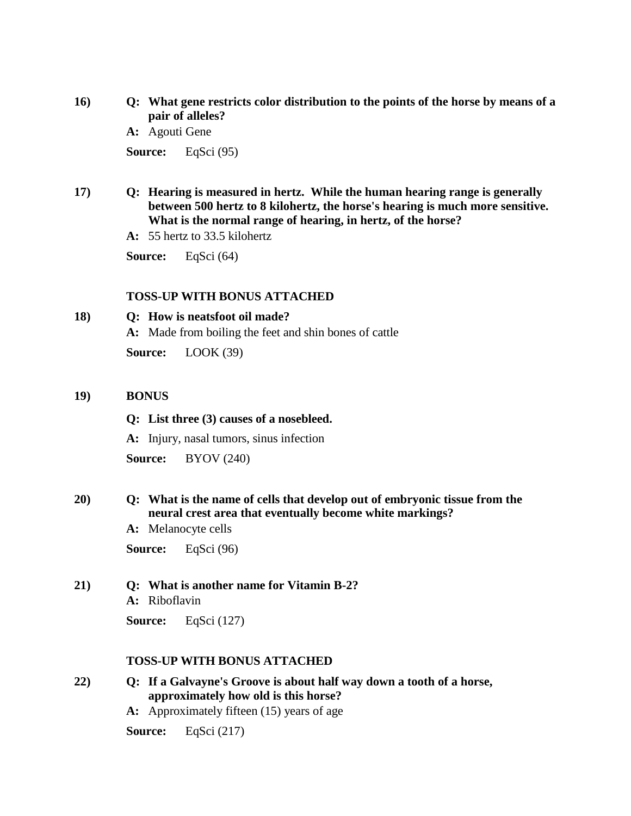- **16) Q: What gene restricts color distribution to the points of the horse by means of a pair of alleles?**
	- **A:** Agouti Gene

**Source:** EqSci (95)

**17) Q: Hearing is measured in hertz. While the human hearing range is generally between 500 hertz to 8 kilohertz, the horse's hearing is much more sensitive. What is the normal range of hearing, in hertz, of the horse?**

**A:** 55 hertz to 33.5 kilohertz

**Source:** EqSci (64)

#### **TOSS-UP WITH BONUS ATTACHED**

### **18) Q: How is neatsfoot oil made?**

**A:** Made from boiling the feet and shin bones of cattle

**Source:** LOOK (39)

#### **19) BONUS**

#### **Q: List three (3) causes of a nosebleed.**

**A:** Injury, nasal tumors, sinus infection

**Source:** BYOV (240)

## **20) Q: What is the name of cells that develop out of embryonic tissue from the neural crest area that eventually become white markings?**

**A:** Melanocyte cells

**Source:** EqSci (96)

#### **21) Q: What is another name for Vitamin B-2?**

**A:** Riboflavin

**Source:** EqSci (127)

#### **TOSS-UP WITH BONUS ATTACHED**

**22) Q: If a Galvayne's Groove is about half way down a tooth of a horse, approximately how old is this horse?**

**A:** Approximately fifteen (15) years of age

**Source:** EqSci (217)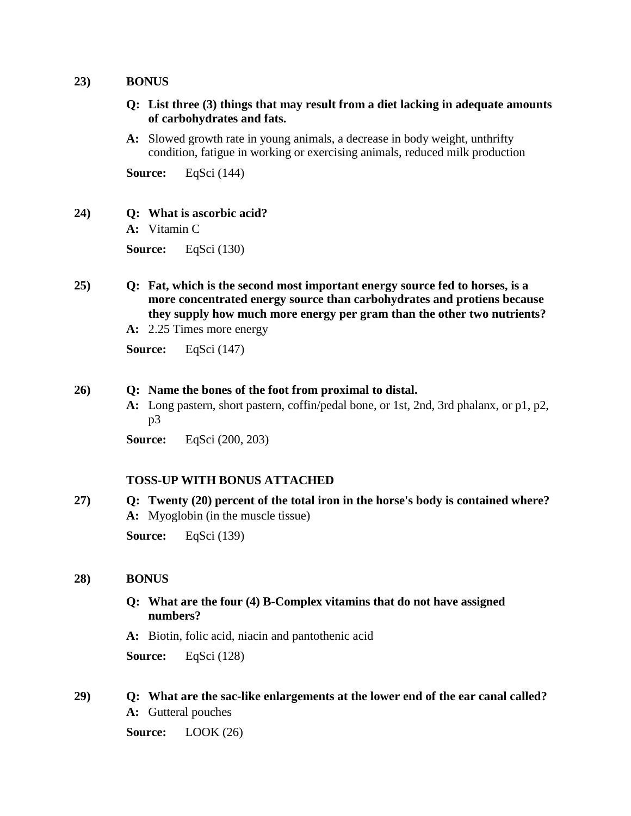### **23) BONUS**

- **Q: List three (3) things that may result from a diet lacking in adequate amounts of carbohydrates and fats.**
- **A:** Slowed growth rate in young animals, a decrease in body weight, unthrifty condition, fatigue in working or exercising animals, reduced milk production

**Source:** EqSci (144)

## **24) Q: What is ascorbic acid?**

**A:** Vitamin C

**Source:** EqSci (130)

- **25) Q: Fat, which is the second most important energy source fed to horses, is a more concentrated energy source than carbohydrates and protiens because they supply how much more energy per gram than the other two nutrients?**
	- **A:** 2.25 Times more energy

**Source:** EqSci (147)

## **26) Q: Name the bones of the foot from proximal to distal.**

**A:** Long pastern, short pastern, coffin/pedal bone, or 1st, 2nd, 3rd phalanx, or p1, p2, p3

**Source:** EqSci (200, 203)

## **TOSS-UP WITH BONUS ATTACHED**

**27) Q: Twenty (20) percent of the total iron in the horse's body is contained where? A:** Myoglobin (in the muscle tissue) **Source:** EqSci (139)

## **28) BONUS**

- **Q: What are the four (4) B-Complex vitamins that do not have assigned numbers?**
- **A:** Biotin, folic acid, niacin and pantothenic acid

**Source:** EqSci (128)

**29) Q: What are the sac-like enlargements at the lower end of the ear canal called? A:** Gutteral pouches

**Source:** LOOK (26)